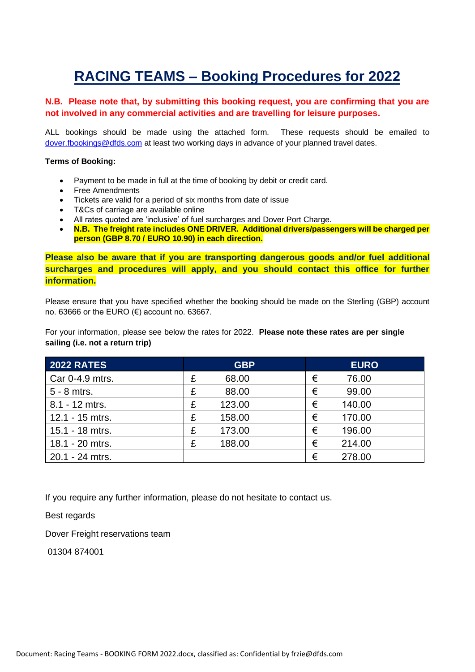# **RACING TEAMS – Booking Procedures for 2022**

### **N.B. Please note that, by submitting this booking request, you are confirming that you are not involved in any commercial activities and are travelling for leisure purposes.**

ALL bookings should be made using the attached form. These requests should be emailed to [dover.fbookings@dfds.com](mailto:dover.fbookings@dfds.com) at least two working days in advance of your planned travel dates.

#### **Terms of Booking:**

- Payment to be made in full at the time of booking by debit or credit card.
- Free Amendments
- Tickets are valid for a period of six months from date of issue
- T&Cs of carriage are available online
- All rates quoted are 'inclusive' of fuel surcharges and Dover Port Charge.
- **N.B. The freight rate includes ONE DRIVER. Additional drivers/passengers will be charged per person (GBP 8.70 / EURO 10.90) in each direction.**

**Please also be aware that if you are transporting dangerous goods and/or fuel additional surcharges and procedures will apply, and you should contact this office for further information.** 

Please ensure that you have specified whether the booking should be made on the Sterling (GBP) account no. 63666 or the EURO (€) account no. 63667.

For your information, please see below the rates for 2022. **Please note these rates are per single sailing (i.e. not a return trip)**

| <b>2022 RATES</b> | <b>GBP</b>  | <b>EURO</b> |
|-------------------|-------------|-------------|
| Car 0-4.9 mtrs.   | £<br>68.00  | €<br>76.00  |
| 5 - 8 mtrs.       | 88.00<br>£  | 99.00<br>€  |
| 8.1 - 12 mtrs.    | 123.00<br>£ | €<br>140.00 |
| 12.1 - 15 mtrs.   | 158.00<br>£ | €<br>170.00 |
| 15.1 - 18 mtrs.   | 173.00<br>£ | €<br>196.00 |
| 18.1 - 20 mtrs.   | £<br>188.00 | €<br>214.00 |
| 20.1 - 24 mtrs.   |             | €<br>278.00 |

If you require any further information, please do not hesitate to contact us.

Best regards

Dover Freight reservations team

01304 874001